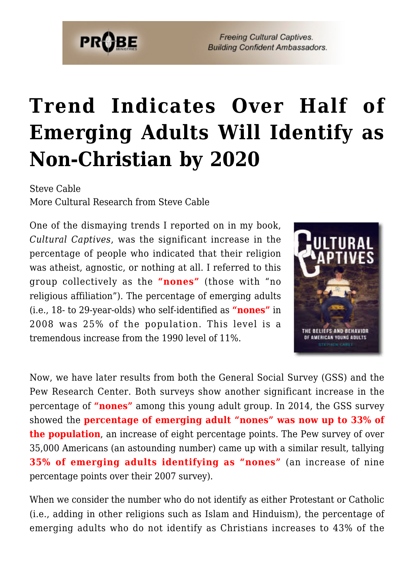

**Freeing Cultural Captives. Building Confident Ambassadors.** 

## **[Trend Indicates Over Half of](https://probe.org/trend-indicates-over-half-of-emerging-adults-will-identify-as-non-christian-by-2020/) [Emerging Adults Will Identify as](https://probe.org/trend-indicates-over-half-of-emerging-adults-will-identify-as-non-christian-by-2020/) [Non-Christian by 2020](https://probe.org/trend-indicates-over-half-of-emerging-adults-will-identify-as-non-christian-by-2020/)**

Steve Cable More Cultural Research from Steve Cable

One of the dismaying trends I reported on in my book, *Cultural Captives*, was the significant increase in the percentage of people who indicated that their religion was atheist, agnostic, or nothing at all. I referred to this group collectively as the **"nones"** (those with "no religious affiliation"). The percentage of emerging adults (i.e., 18- to 29-year-olds) who self-identified as **"nones"** in 2008 was 25% of the population. This level is a tremendous increase from the 1990 level of 11%.



Now, we have later results from both the General Social Survey (GSS) and the Pew Research Center. Both surveys show another significant increase in the percentage of **"nones"** among this young adult group. In 2014, the GSS survey showed the **percentage of emerging adult "nones" was now up to 33% of the population**, an increase of eight percentage points. The Pew survey of over 35,000 Americans (an astounding number) came up with a similar result, tallying **35% of emerging adults identifying as "nones"** (an increase of nine percentage points over their 2007 survey).

When we consider the number who do not identify as either Protestant or Catholic (i.e., adding in other religions such as Islam and Hinduism), the percentage of emerging adults who do not identify as Christians increases to 43% of the